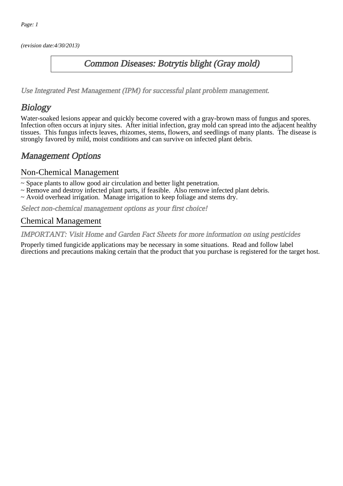(revision date:4/30/2013)

### Common Diseases: Botrytis blight (Gray mold)

[Use Integrated Pest Management \(IPM\) for successful plant problem management.](http://pep.wsu.edu/Home_Garden/H_G_Pesticide_info/urban_Integrated_Pest_Managmen/)

## Biology

Water-soaked lesions appear and quickly become covered with a gray-brown mass of fungus and spores. Infection often occurs at injury sites. After initial infection, gray mold can spread into the adjacent healthy tissues. This fungus infects leaves, rhizomes, stems, flowers, and seedlings of many plants. The disease is strongly favored by mild, moist conditions and can survive on infected plant debris.

### Management Options

#### Non-Chemical Management

~ Space plants to allow good air circulation and better light penetration.

- ~ Remove and destroy infected plant parts, if feasible. Also remove infected plant debris.
- ~ Avoid overhead irrigation. Manage irrigation to keep foliage and stems dry.

Select non-chemical management options as your first choice!

#### Chemical Management

IMPORTANT: [Visit Home and Garden Fact Sheets for more information on using pesticides](http://pep.wsu.edu/Home_Garden/H_G_Pesticide_info/)

Properly timed fungicide applications may be necessary in some situations. Read and follow label directions and precautions making certain that the product that you purchase is registered for the target host.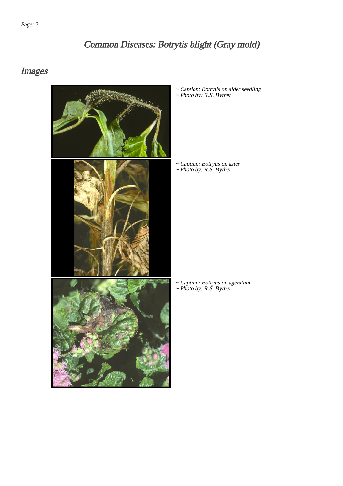# Common Diseases: Botrytis blight (Gray mold)

# Images



~ Caption: Botrytis on alder seedling ~ Photo by: R.S. Byther

~ Caption: Botrytis on aster ~ Photo by: R.S. Byther

~ Caption: Botrytis on ageratum ~ Photo by: R.S. Byther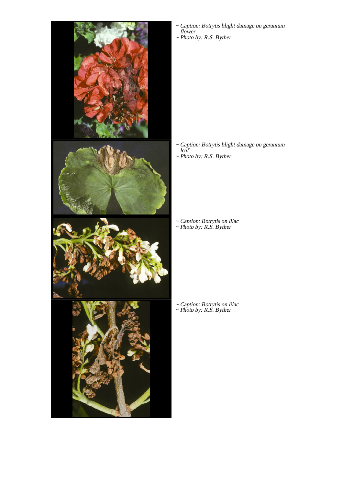

- Caption: Botrytis blight damage on geranium flower ~
- ~ Photo by: R.S. Byther

Caption: Botrytis blight damage on geranium leaf ~ ~ Photo by: R.S. Byther

~ Caption: Botrytis on lilac ~ Photo by: R.S. Byther

~ Caption: Botrytis on lilac ~ Photo by: R.S. Byther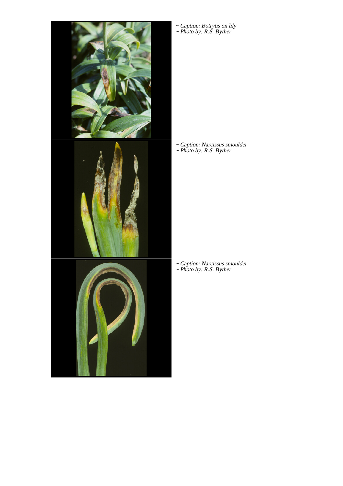

~ Caption: Botrytis on lily ~ Photo by: R.S. Byther

~ Caption: Narcissus smoulder ~ Photo by: R.S. Byther

~ Caption: Narcissus smoulder ~ Photo by: R.S. Byther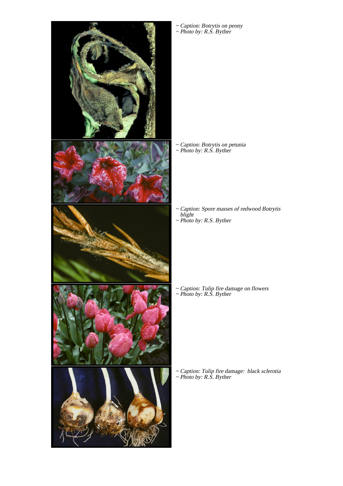